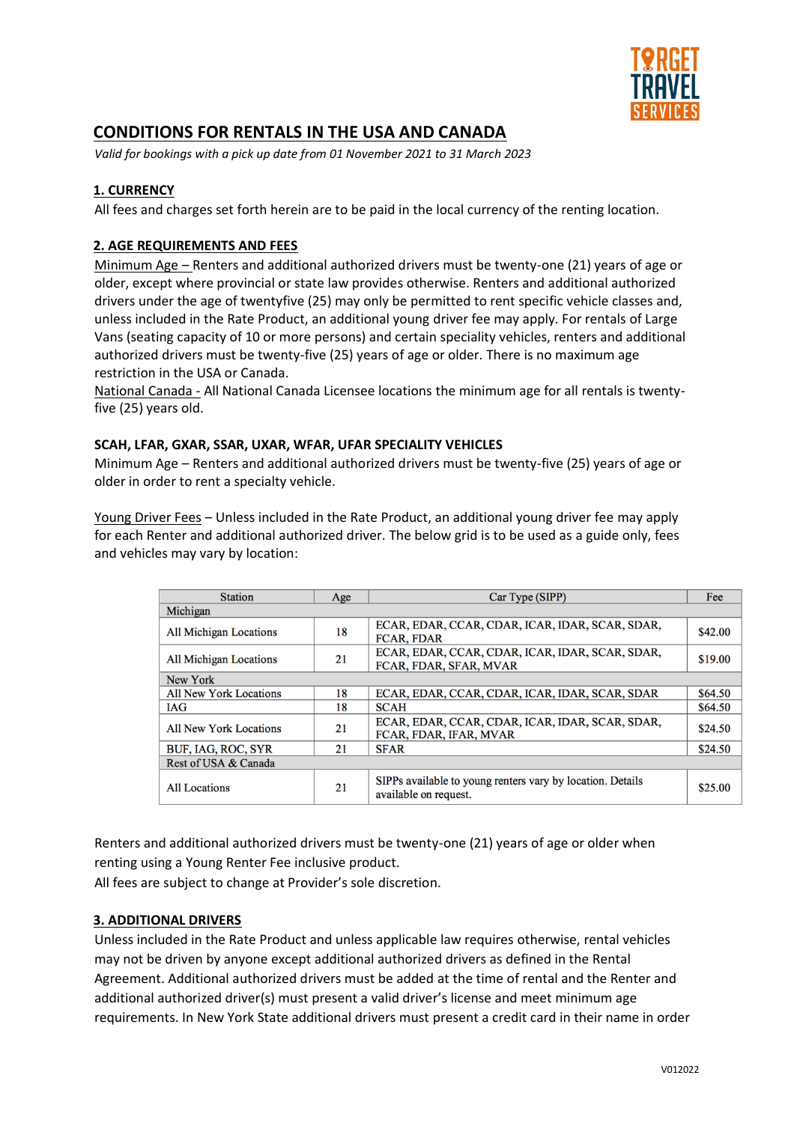

# **CONDITIONS FOR RENTALS IN THE USA AND CANADA**

*Valid for bookings with a pick up date from 01 November 2021 to 31 March 2023*

## **1. CURRENCY**

All fees and charges set forth herein are to be paid in the local currency of the renting location.

## **2. AGE REQUIREMENTS AND FEES**

Minimum Age – Renters and additional authorized drivers must be twenty-one (21) years of age or older, except where provincial or state law provides otherwise. Renters and additional authorized drivers under the age of twentyfive (25) may only be permitted to rent specific vehicle classes and, unless included in the Rate Product, an additional young driver fee may apply. For rentals of Large Vans (seating capacity of 10 or more persons) and certain speciality vehicles, renters and additional authorized drivers must be twenty-five (25) years of age or older. There is no maximum age restriction in the USA or Canada.

National Canada - All National Canada Licensee locations the minimum age for all rentals is twentyfive (25) years old.

#### **SCAH, LFAR, GXAR, SSAR, UXAR, WFAR, UFAR SPECIALITY VEHICLES**

Minimum Age – Renters and additional authorized drivers must be twenty-five (25) years of age or older in order to rent a specialty vehicle.

Young Driver Fees – Unless included in the Rate Product, an additional young driver fee may apply for each Renter and additional authorized driver. The below grid is to be used as a guide only, fees and vehicles may vary by location:

| <b>Station</b>                | Age | Car Type (SIPP)                                                                     | Fee     |
|-------------------------------|-----|-------------------------------------------------------------------------------------|---------|
| Michigan                      |     |                                                                                     |         |
| <b>All Michigan Locations</b> | 18  | ECAR, EDAR, CCAR, CDAR, ICAR, IDAR, SCAR, SDAR,<br><b>FCAR, FDAR</b>                | \$42.00 |
| All Michigan Locations        | 21  | ECAR, EDAR, CCAR, CDAR, ICAR, IDAR, SCAR, SDAR,<br>FCAR, FDAR, SFAR, MVAR           | \$19.00 |
| New York                      |     |                                                                                     |         |
| All New York Locations        | 18  | ECAR, EDAR, CCAR, CDAR, ICAR, IDAR, SCAR, SDAR                                      | \$64.50 |
| <b>IAG</b>                    | 18  | <b>SCAH</b>                                                                         | \$64.50 |
| <b>All New York Locations</b> | 21  | ECAR, EDAR, CCAR, CDAR, ICAR, IDAR, SCAR, SDAR,<br>FCAR, FDAR, IFAR, MVAR           | \$24.50 |
| BUF, IAG, ROC, SYR            | 21  | <b>SFAR</b>                                                                         | \$24.50 |
| Rest of USA & Canada          |     |                                                                                     |         |
| <b>All Locations</b>          | 21  | SIPPs available to young renters vary by location. Details<br>available on request. | \$25.00 |

Renters and additional authorized drivers must be twenty-one (21) years of age or older when renting using a Young Renter Fee inclusive product.

All fees are subject to change at Provider's sole discretion.

## **3. ADDITIONAL DRIVERS**

Unless included in the Rate Product and unless applicable law requires otherwise, rental vehicles may not be driven by anyone except additional authorized drivers as defined in the Rental Agreement. Additional authorized drivers must be added at the time of rental and the Renter and additional authorized driver(s) must present a valid driver's license and meet minimum age requirements. In New York State additional drivers must present a credit card in their name in order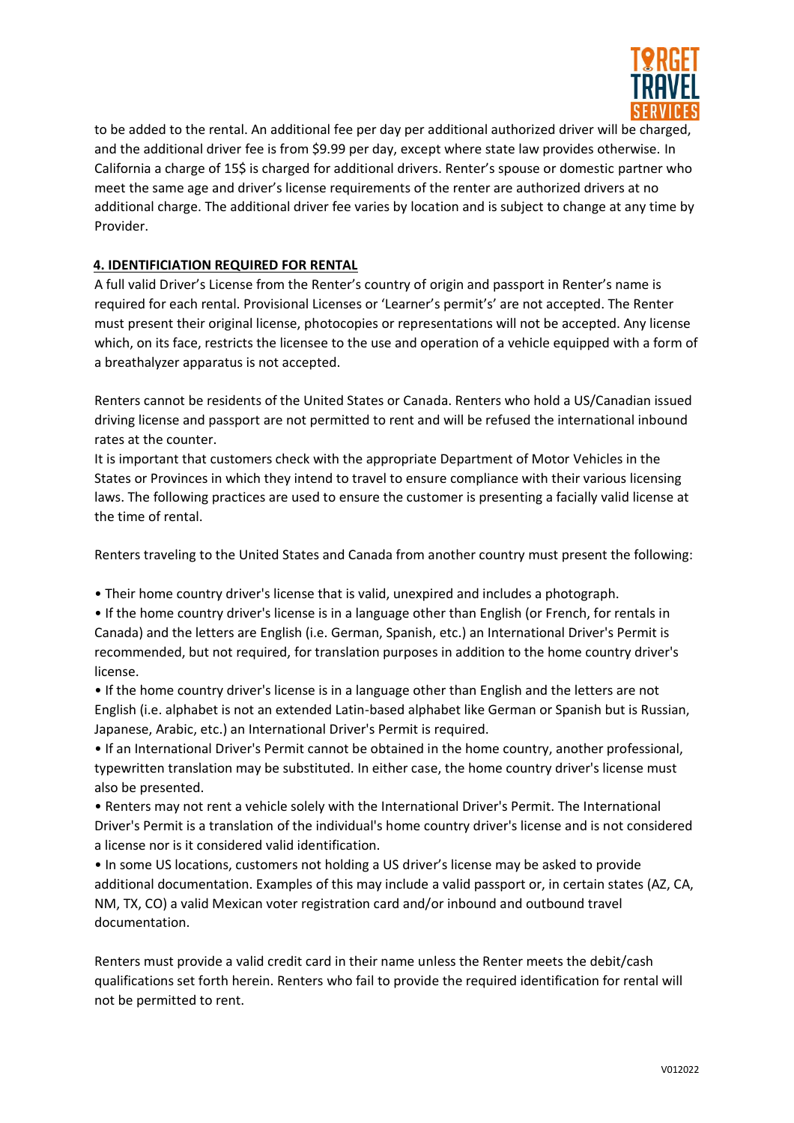

to be added to the rental. An additional fee per day per additional authorized driver will be charged, and the additional driver fee is from \$9.99 per day, except where state law provides otherwise. In California a charge of 15\$ is charged for additional drivers. Renter's spouse or domestic partner who meet the same age and driver's license requirements of the renter are authorized drivers at no additional charge. The additional driver fee varies by location and is subject to change at any time by Provider.

# **4. IDENTIFICIATION REQUIRED FOR RENTAL**

A full valid Driver's License from the Renter's country of origin and passport in Renter's name is required for each rental. Provisional Licenses or 'Learner's permit's' are not accepted. The Renter must present their original license, photocopies or representations will not be accepted. Any license which, on its face, restricts the licensee to the use and operation of a vehicle equipped with a form of a breathalyzer apparatus is not accepted.

Renters cannot be residents of the United States or Canada. Renters who hold a US/Canadian issued driving license and passport are not permitted to rent and will be refused the international inbound rates at the counter.

It is important that customers check with the appropriate Department of Motor Vehicles in the States or Provinces in which they intend to travel to ensure compliance with their various licensing laws. The following practices are used to ensure the customer is presenting a facially valid license at the time of rental.

Renters traveling to the United States and Canada from another country must present the following:

• Their home country driver's license that is valid, unexpired and includes a photograph.

• If the home country driver's license is in a language other than English (or French, for rentals in Canada) and the letters are English (i.e. German, Spanish, etc.) an International Driver's Permit is recommended, but not required, for translation purposes in addition to the home country driver's license.

• If the home country driver's license is in a language other than English and the letters are not English (i.e. alphabet is not an extended Latin-based alphabet like German or Spanish but is Russian, Japanese, Arabic, etc.) an International Driver's Permit is required.

• If an International Driver's Permit cannot be obtained in the home country, another professional, typewritten translation may be substituted. In either case, the home country driver's license must also be presented.

• Renters may not rent a vehicle solely with the International Driver's Permit. The International Driver's Permit is a translation of the individual's home country driver's license and is not considered a license nor is it considered valid identification.

• In some US locations, customers not holding a US driver's license may be asked to provide additional documentation. Examples of this may include a valid passport or, in certain states (AZ, CA, NM, TX, CO) a valid Mexican voter registration card and/or inbound and outbound travel documentation.

Renters must provide a valid credit card in their name unless the Renter meets the debit/cash qualifications set forth herein. Renters who fail to provide the required identification for rental will not be permitted to rent.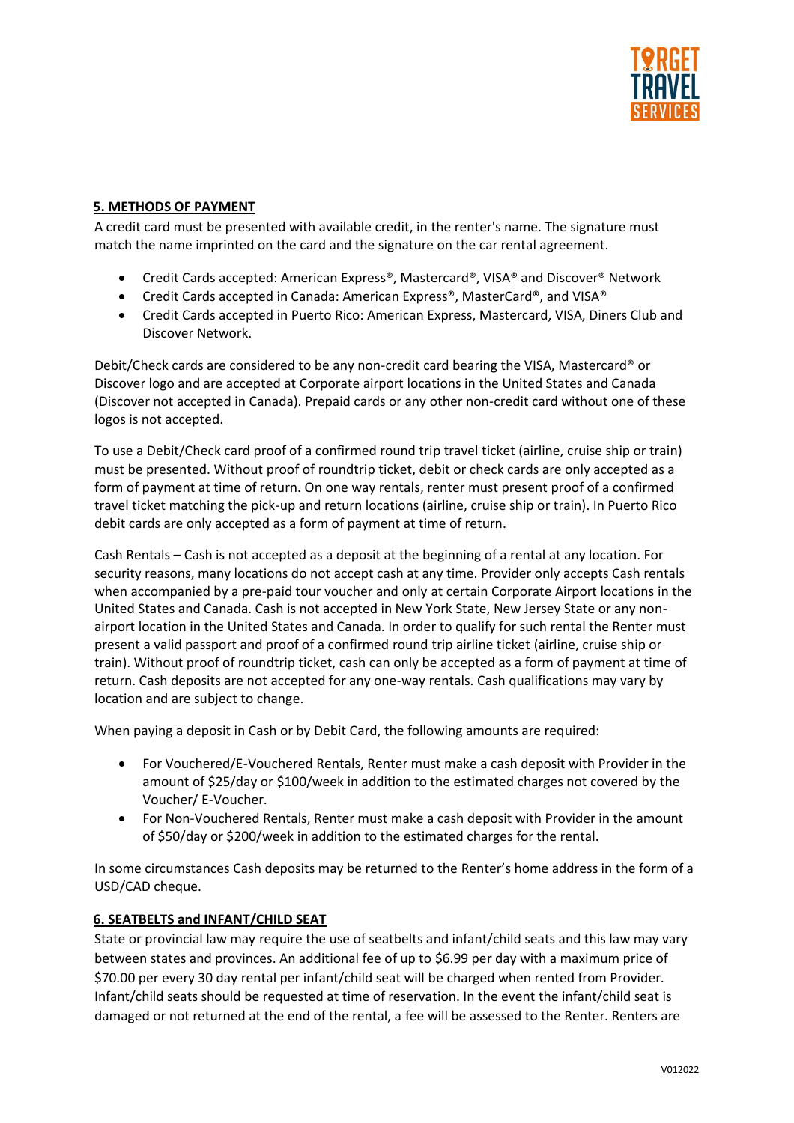

## **5. METHODS OF PAYMENT**

A credit card must be presented with available credit, in the renter's name. The signature must match the name imprinted on the card and the signature on the car rental agreement.

- Credit Cards accepted: American Express®, Mastercard®, VISA® and Discover® Network
- Credit Cards accepted in Canada: American Express®, MasterCard®, and VISA®
- Credit Cards accepted in Puerto Rico: American Express, Mastercard, VISA, Diners Club and Discover Network.

Debit/Check cards are considered to be any non-credit card bearing the VISA, Mastercard® or Discover logo and are accepted at Corporate airport locations in the United States and Canada (Discover not accepted in Canada). Prepaid cards or any other non-credit card without one of these logos is not accepted.

To use a Debit/Check card proof of a confirmed round trip travel ticket (airline, cruise ship or train) must be presented. Without proof of roundtrip ticket, debit or check cards are only accepted as a form of payment at time of return. On one way rentals, renter must present proof of a confirmed travel ticket matching the pick-up and return locations (airline, cruise ship or train). In Puerto Rico debit cards are only accepted as a form of payment at time of return.

Cash Rentals – Cash is not accepted as a deposit at the beginning of a rental at any location. For security reasons, many locations do not accept cash at any time. Provider only accepts Cash rentals when accompanied by a pre-paid tour voucher and only at certain Corporate Airport locations in the United States and Canada. Cash is not accepted in New York State, New Jersey State or any nonairport location in the United States and Canada. In order to qualify for such rental the Renter must present a valid passport and proof of a confirmed round trip airline ticket (airline, cruise ship or train). Without proof of roundtrip ticket, cash can only be accepted as a form of payment at time of return. Cash deposits are not accepted for any one-way rentals. Cash qualifications may vary by location and are subject to change.

When paying a deposit in Cash or by Debit Card, the following amounts are required:

- For Vouchered/E-Vouchered Rentals, Renter must make a cash deposit with Provider in the amount of \$25/day or \$100/week in addition to the estimated charges not covered by the Voucher/ E-Voucher.
- For Non-Vouchered Rentals, Renter must make a cash deposit with Provider in the amount of \$50/day or \$200/week in addition to the estimated charges for the rental.

In some circumstances Cash deposits may be returned to the Renter's home address in the form of a USD/CAD cheque.

## **6. SEATBELTS and INFANT/CHILD SEAT**

State or provincial law may require the use of seatbelts and infant/child seats and this law may vary between states and provinces. An additional fee of up to \$6.99 per day with a maximum price of \$70.00 per every 30 day rental per infant/child seat will be charged when rented from Provider. Infant/child seats should be requested at time of reservation. In the event the infant/child seat is damaged or not returned at the end of the rental, a fee will be assessed to the Renter. Renters are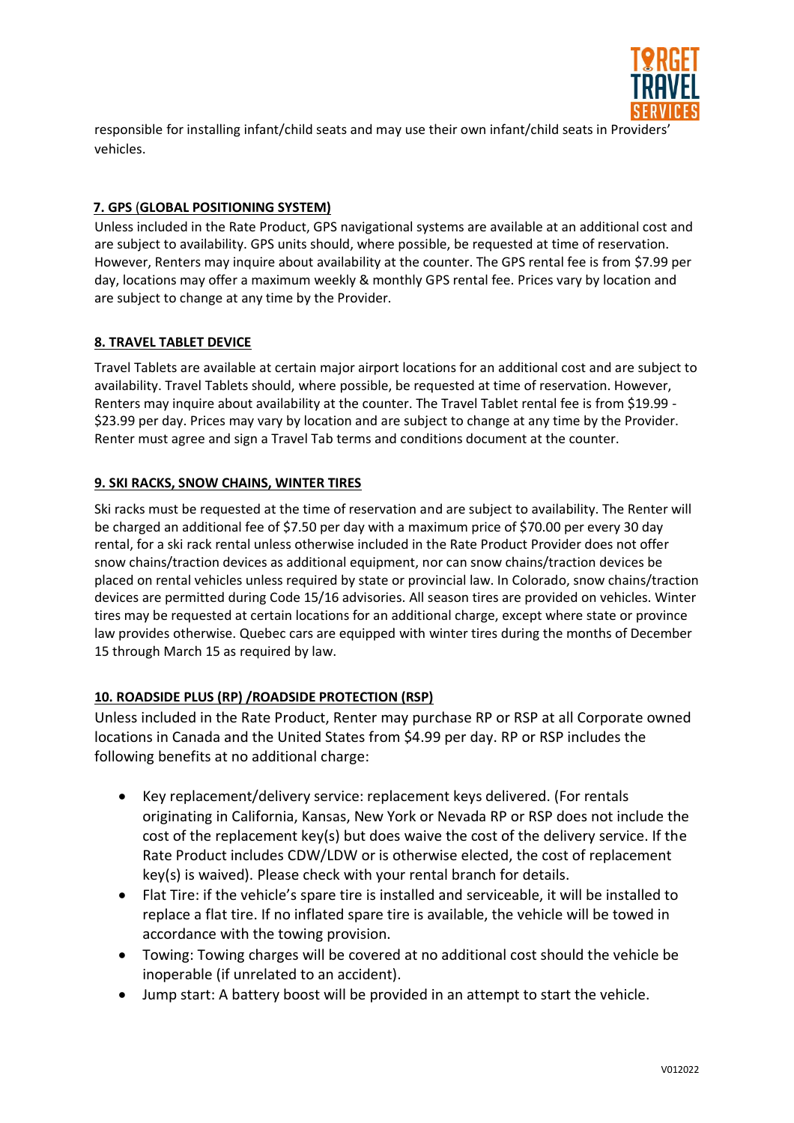

responsible for installing infant/child seats and may use their own infant/child seats in Providers' vehicles.

# **7. GPS** (**GLOBAL POSITIONING SYSTEM)**

Unless included in the Rate Product, GPS navigational systems are available at an additional cost and are subject to availability. GPS units should, where possible, be requested at time of reservation. However, Renters may inquire about availability at the counter. The GPS rental fee is from \$7.99 per day, locations may offer a maximum weekly & monthly GPS rental fee. Prices vary by location and are subject to change at any time by the Provider.

## **8. TRAVEL TABLET DEVICE**

Travel Tablets are available at certain major airport locations for an additional cost and are subject to availability. Travel Tablets should, where possible, be requested at time of reservation. However, Renters may inquire about availability at the counter. The Travel Tablet rental fee is from \$19.99 - \$23.99 per day. Prices may vary by location and are subject to change at any time by the Provider. Renter must agree and sign a Travel Tab terms and conditions document at the counter.

## **9. SKI RACKS, SNOW CHAINS, WINTER TIRES**

Ski racks must be requested at the time of reservation and are subject to availability. The Renter will be charged an additional fee of \$7.50 per day with a maximum price of \$70.00 per every 30 day rental, for a ski rack rental unless otherwise included in the Rate Product Provider does not offer snow chains/traction devices as additional equipment, nor can snow chains/traction devices be placed on rental vehicles unless required by state or provincial law. In Colorado, snow chains/traction devices are permitted during Code 15/16 advisories. All season tires are provided on vehicles. Winter tires may be requested at certain locations for an additional charge, except where state or province law provides otherwise. Quebec cars are equipped with winter tires during the months of December 15 through March 15 as required by law.

## **10. ROADSIDE PLUS (RP) /ROADSIDE PROTECTION (RSP)**

Unless included in the Rate Product, Renter may purchase RP or RSP at all Corporate owned locations in Canada and the United States from \$4.99 per day. RP or RSP includes the following benefits at no additional charge:

- Key replacement/delivery service: replacement keys delivered. (For rentals originating in California, Kansas, New York or Nevada RP or RSP does not include the cost of the replacement key(s) but does waive the cost of the delivery service. If the Rate Product includes CDW/LDW or is otherwise elected, the cost of replacement key(s) is waived). Please check with your rental branch for details.
- Flat Tire: if the vehicle's spare tire is installed and serviceable, it will be installed to replace a flat tire. If no inflated spare tire is available, the vehicle will be towed in accordance with the towing provision.
- Towing: Towing charges will be covered at no additional cost should the vehicle be inoperable (if unrelated to an accident).
- Jump start: A battery boost will be provided in an attempt to start the vehicle.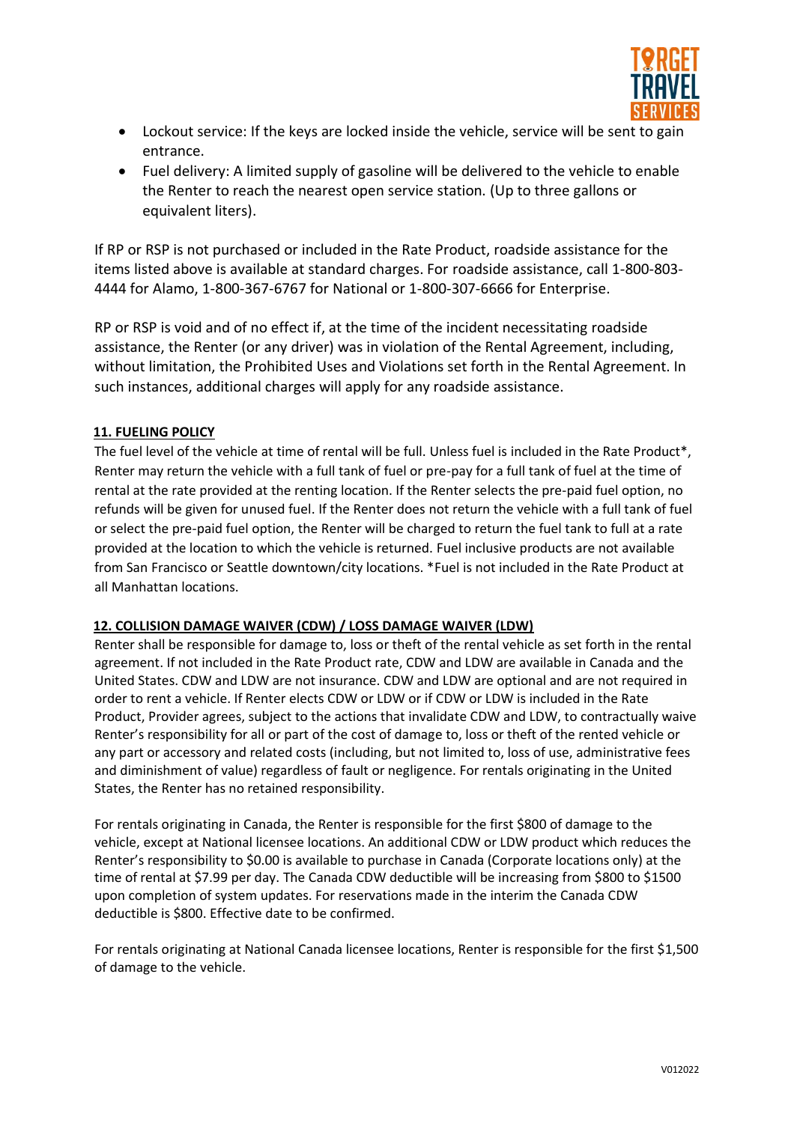

- Lockout service: If the keys are locked inside the vehicle, service will be sent to gain entrance.
- Fuel delivery: A limited supply of gasoline will be delivered to the vehicle to enable the Renter to reach the nearest open service station. (Up to three gallons or equivalent liters).

If RP or RSP is not purchased or included in the Rate Product, roadside assistance for the items listed above is available at standard charges. For roadside assistance, call 1-800-803- 4444 for Alamo, 1-800-367-6767 for National or 1-800-307-6666 for Enterprise.

RP or RSP is void and of no effect if, at the time of the incident necessitating roadside assistance, the Renter (or any driver) was in violation of the Rental Agreement, including, without limitation, the Prohibited Uses and Violations set forth in the Rental Agreement. In such instances, additional charges will apply for any roadside assistance.

# **11. FUELING POLICY**

The fuel level of the vehicle at time of rental will be full. Unless fuel is included in the Rate Product\*, Renter may return the vehicle with a full tank of fuel or pre-pay for a full tank of fuel at the time of rental at the rate provided at the renting location. If the Renter selects the pre-paid fuel option, no refunds will be given for unused fuel. If the Renter does not return the vehicle with a full tank of fuel or select the pre-paid fuel option, the Renter will be charged to return the fuel tank to full at a rate provided at the location to which the vehicle is returned. Fuel inclusive products are not available from San Francisco or Seattle downtown/city locations. \*Fuel is not included in the Rate Product at all Manhattan locations.

## **12. COLLISION DAMAGE WAIVER (CDW) / LOSS DAMAGE WAIVER (LDW)**

Renter shall be responsible for damage to, loss or theft of the rental vehicle as set forth in the rental agreement. If not included in the Rate Product rate, CDW and LDW are available in Canada and the United States. CDW and LDW are not insurance. CDW and LDW are optional and are not required in order to rent a vehicle. If Renter elects CDW or LDW or if CDW or LDW is included in the Rate Product, Provider agrees, subject to the actions that invalidate CDW and LDW, to contractually waive Renter's responsibility for all or part of the cost of damage to, loss or theft of the rented vehicle or any part or accessory and related costs (including, but not limited to, loss of use, administrative fees and diminishment of value) regardless of fault or negligence. For rentals originating in the United States, the Renter has no retained responsibility.

For rentals originating in Canada, the Renter is responsible for the first \$800 of damage to the vehicle, except at National licensee locations. An additional CDW or LDW product which reduces the Renter's responsibility to \$0.00 is available to purchase in Canada (Corporate locations only) at the time of rental at \$7.99 per day. The Canada CDW deductible will be increasing from \$800 to \$1500 upon completion of system updates. For reservations made in the interim the Canada CDW deductible is \$800. Effective date to be confirmed.

For rentals originating at National Canada licensee locations, Renter is responsible for the first \$1,500 of damage to the vehicle.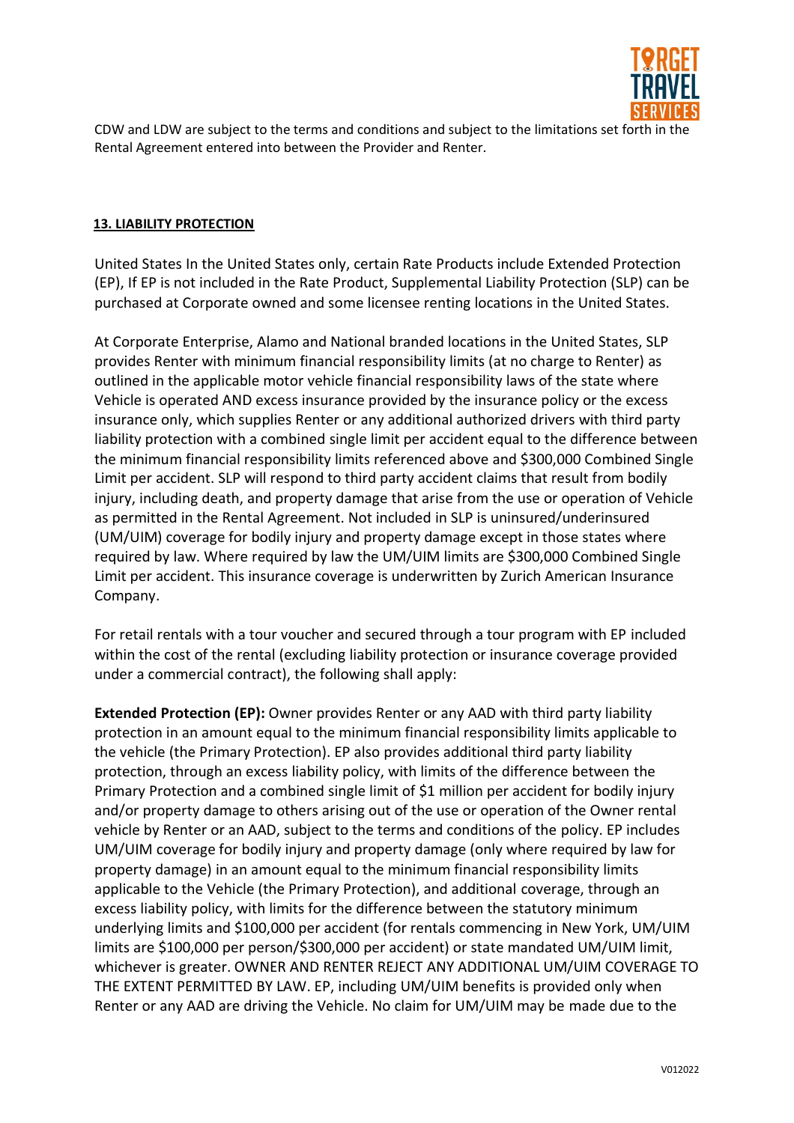

CDW and LDW are subject to the terms and conditions and subject to the limitations set forth in the Rental Agreement entered into between the Provider and Renter.

## **13. LIABILITY PROTECTION**

United States In the United States only, certain Rate Products include Extended Protection (EP), If EP is not included in the Rate Product, Supplemental Liability Protection (SLP) can be purchased at Corporate owned and some licensee renting locations in the United States.

At Corporate Enterprise, Alamo and National branded locations in the United States, SLP provides Renter with minimum financial responsibility limits (at no charge to Renter) as outlined in the applicable motor vehicle financial responsibility laws of the state where Vehicle is operated AND excess insurance provided by the insurance policy or the excess insurance only, which supplies Renter or any additional authorized drivers with third party liability protection with a combined single limit per accident equal to the difference between the minimum financial responsibility limits referenced above and \$300,000 Combined Single Limit per accident. SLP will respond to third party accident claims that result from bodily injury, including death, and property damage that arise from the use or operation of Vehicle as permitted in the Rental Agreement. Not included in SLP is uninsured/underinsured (UM/UIM) coverage for bodily injury and property damage except in those states where required by law. Where required by law the UM/UIM limits are \$300,000 Combined Single Limit per accident. This insurance coverage is underwritten by Zurich American Insurance Company.

For retail rentals with a tour voucher and secured through a tour program with EP included within the cost of the rental (excluding liability protection or insurance coverage provided under a commercial contract), the following shall apply:

**Extended Protection (EP):** Owner provides Renter or any AAD with third party liability protection in an amount equal to the minimum financial responsibility limits applicable to the vehicle (the Primary Protection). EP also provides additional third party liability protection, through an excess liability policy, with limits of the difference between the Primary Protection and a combined single limit of \$1 million per accident for bodily injury and/or property damage to others arising out of the use or operation of the Owner rental vehicle by Renter or an AAD, subject to the terms and conditions of the policy. EP includes UM/UIM coverage for bodily injury and property damage (only where required by law for property damage) in an amount equal to the minimum financial responsibility limits applicable to the Vehicle (the Primary Protection), and additional coverage, through an excess liability policy, with limits for the difference between the statutory minimum underlying limits and \$100,000 per accident (for rentals commencing in New York, UM/UIM limits are \$100,000 per person/\$300,000 per accident) or state mandated UM/UIM limit, whichever is greater. OWNER AND RENTER REJECT ANY ADDITIONAL UM/UIM COVERAGE TO THE EXTENT PERMITTED BY LAW. EP, including UM/UIM benefits is provided only when Renter or any AAD are driving the Vehicle. No claim for UM/UIM may be made due to the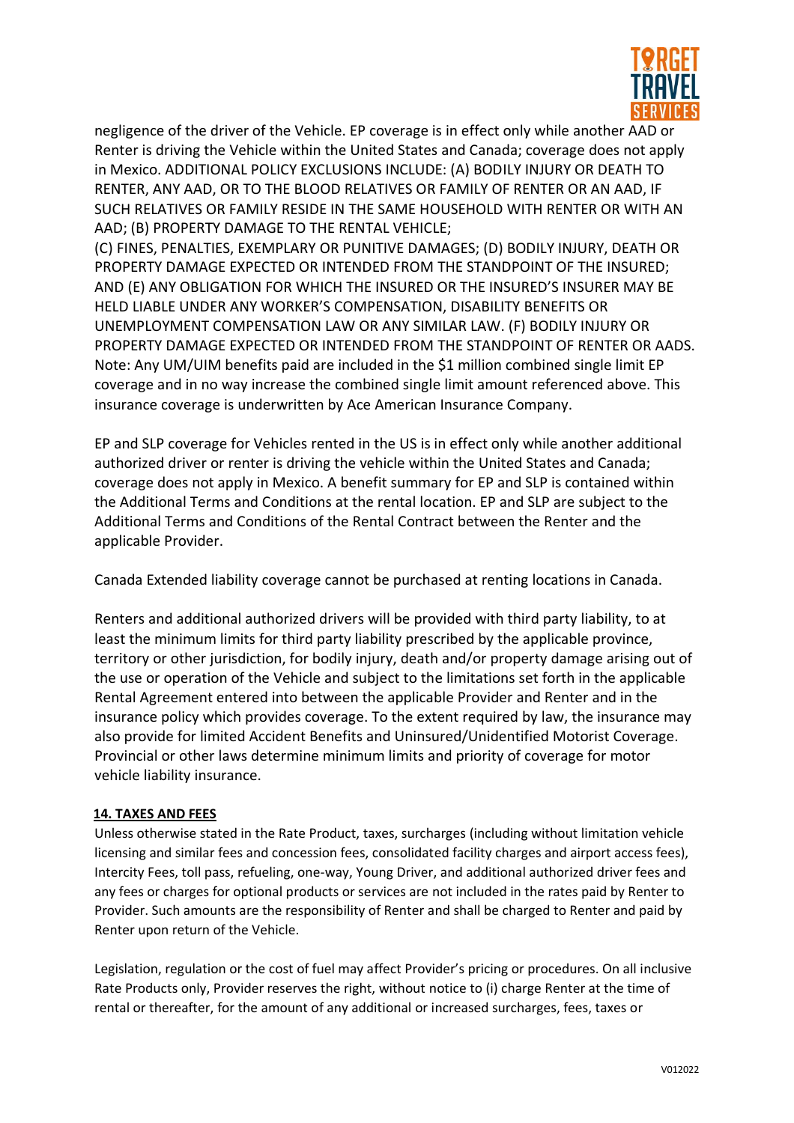

negligence of the driver of the Vehicle. EP coverage is in effect only while another AAD or Renter is driving the Vehicle within the United States and Canada; coverage does not apply in Mexico. ADDITIONAL POLICY EXCLUSIONS INCLUDE: (A) BODILY INJURY OR DEATH TO RENTER, ANY AAD, OR TO THE BLOOD RELATIVES OR FAMILY OF RENTER OR AN AAD, IF SUCH RELATIVES OR FAMILY RESIDE IN THE SAME HOUSEHOLD WITH RENTER OR WITH AN AAD; (B) PROPERTY DAMAGE TO THE RENTAL VEHICLE;

(C) FINES, PENALTIES, EXEMPLARY OR PUNITIVE DAMAGES; (D) BODILY INJURY, DEATH OR PROPERTY DAMAGE EXPECTED OR INTENDED FROM THE STANDPOINT OF THE INSURED; AND (E) ANY OBLIGATION FOR WHICH THE INSURED OR THE INSURED'S INSURER MAY BE HELD LIABLE UNDER ANY WORKER'S COMPENSATION, DISABILITY BENEFITS OR UNEMPLOYMENT COMPENSATION LAW OR ANY SIMILAR LAW. (F) BODILY INJURY OR PROPERTY DAMAGE EXPECTED OR INTENDED FROM THE STANDPOINT OF RENTER OR AADS. Note: Any UM/UIM benefits paid are included in the \$1 million combined single limit EP coverage and in no way increase the combined single limit amount referenced above. This insurance coverage is underwritten by Ace American Insurance Company.

EP and SLP coverage for Vehicles rented in the US is in effect only while another additional authorized driver or renter is driving the vehicle within the United States and Canada; coverage does not apply in Mexico. A benefit summary for EP and SLP is contained within the Additional Terms and Conditions at the rental location. EP and SLP are subject to the Additional Terms and Conditions of the Rental Contract between the Renter and the applicable Provider.

Canada Extended liability coverage cannot be purchased at renting locations in Canada.

Renters and additional authorized drivers will be provided with third party liability, to at least the minimum limits for third party liability prescribed by the applicable province, territory or other jurisdiction, for bodily injury, death and/or property damage arising out of the use or operation of the Vehicle and subject to the limitations set forth in the applicable Rental Agreement entered into between the applicable Provider and Renter and in the insurance policy which provides coverage. To the extent required by law, the insurance may also provide for limited Accident Benefits and Uninsured/Unidentified Motorist Coverage. Provincial or other laws determine minimum limits and priority of coverage for motor vehicle liability insurance.

## **14. TAXES AND FEES**

Unless otherwise stated in the Rate Product, taxes, surcharges (including without limitation vehicle licensing and similar fees and concession fees, consolidated facility charges and airport access fees), Intercity Fees, toll pass, refueling, one-way, Young Driver, and additional authorized driver fees and any fees or charges for optional products or services are not included in the rates paid by Renter to Provider. Such amounts are the responsibility of Renter and shall be charged to Renter and paid by Renter upon return of the Vehicle.

Legislation, regulation or the cost of fuel may affect Provider's pricing or procedures. On all inclusive Rate Products only, Provider reserves the right, without notice to (i) charge Renter at the time of rental or thereafter, for the amount of any additional or increased surcharges, fees, taxes or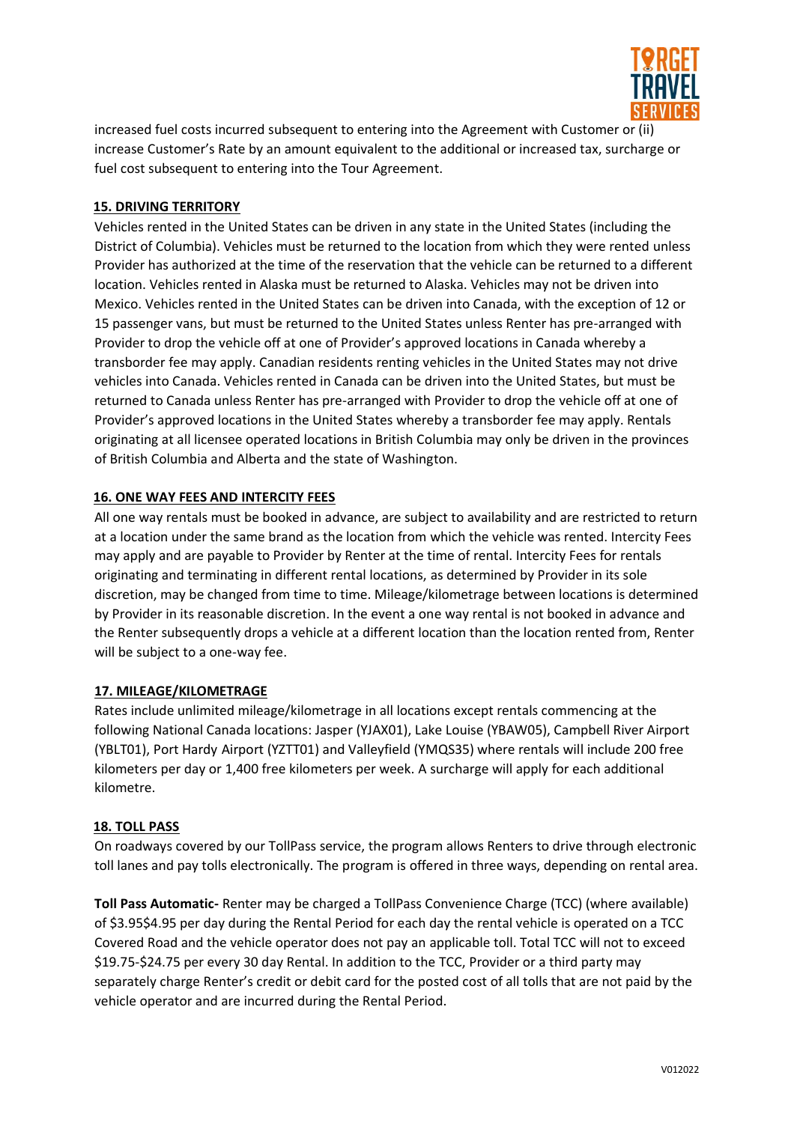

increased fuel costs incurred subsequent to entering into the Agreement with Customer or (ii) increase Customer's Rate by an amount equivalent to the additional or increased tax, surcharge or fuel cost subsequent to entering into the Tour Agreement.

## **15. DRIVING TERRITORY**

Vehicles rented in the United States can be driven in any state in the United States (including the District of Columbia). Vehicles must be returned to the location from which they were rented unless Provider has authorized at the time of the reservation that the vehicle can be returned to a different location. Vehicles rented in Alaska must be returned to Alaska. Vehicles may not be driven into Mexico. Vehicles rented in the United States can be driven into Canada, with the exception of 12 or 15 passenger vans, but must be returned to the United States unless Renter has pre-arranged with Provider to drop the vehicle off at one of Provider's approved locations in Canada whereby a transborder fee may apply. Canadian residents renting vehicles in the United States may not drive vehicles into Canada. Vehicles rented in Canada can be driven into the United States, but must be returned to Canada unless Renter has pre-arranged with Provider to drop the vehicle off at one of Provider's approved locations in the United States whereby a transborder fee may apply. Rentals originating at all licensee operated locations in British Columbia may only be driven in the provinces of British Columbia and Alberta and the state of Washington.

## **16. ONE WAY FEES AND INTERCITY FEES**

All one way rentals must be booked in advance, are subject to availability and are restricted to return at a location under the same brand as the location from which the vehicle was rented. Intercity Fees may apply and are payable to Provider by Renter at the time of rental. Intercity Fees for rentals originating and terminating in different rental locations, as determined by Provider in its sole discretion, may be changed from time to time. Mileage/kilometrage between locations is determined by Provider in its reasonable discretion. In the event a one way rental is not booked in advance and the Renter subsequently drops a vehicle at a different location than the location rented from, Renter will be subject to a one-way fee.

## **17. MILEAGE/KILOMETRAGE**

Rates include unlimited mileage/kilometrage in all locations except rentals commencing at the following National Canada locations: Jasper (YJAX01), Lake Louise (YBAW05), Campbell River Airport (YBLT01), Port Hardy Airport (YZTT01) and Valleyfield (YMQS35) where rentals will include 200 free kilometers per day or 1,400 free kilometers per week. A surcharge will apply for each additional kilometre.

## **18. TOLL PASS**

On roadways covered by our TollPass service, the program allows Renters to drive through electronic toll lanes and pay tolls electronically. The program is offered in three ways, depending on rental area.

**Toll Pass Automatic-** Renter may be charged a TollPass Convenience Charge (TCC) (where available) of \$3.95\$4.95 per day during the Rental Period for each day the rental vehicle is operated on a TCC Covered Road and the vehicle operator does not pay an applicable toll. Total TCC will not to exceed \$19.75-\$24.75 per every 30 day Rental. In addition to the TCC, Provider or a third party may separately charge Renter's credit or debit card for the posted cost of all tolls that are not paid by the vehicle operator and are incurred during the Rental Period.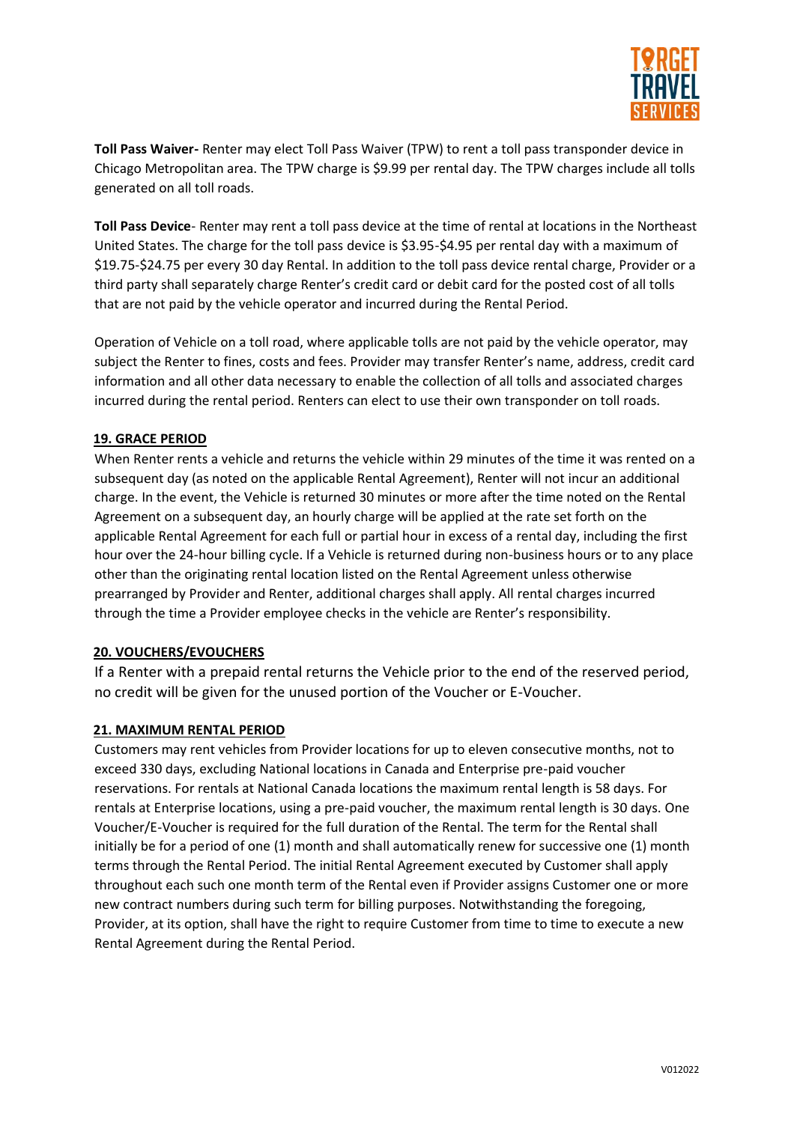

**Toll Pass Waiver-** Renter may elect Toll Pass Waiver (TPW) to rent a toll pass transponder device in Chicago Metropolitan area. The TPW charge is \$9.99 per rental day. The TPW charges include all tolls generated on all toll roads.

**Toll Pass Device**- Renter may rent a toll pass device at the time of rental at locations in the Northeast United States. The charge for the toll pass device is \$3.95-\$4.95 per rental day with a maximum of \$19.75-\$24.75 per every 30 day Rental. In addition to the toll pass device rental charge, Provider or a third party shall separately charge Renter's credit card or debit card for the posted cost of all tolls that are not paid by the vehicle operator and incurred during the Rental Period.

Operation of Vehicle on a toll road, where applicable tolls are not paid by the vehicle operator, may subject the Renter to fines, costs and fees. Provider may transfer Renter's name, address, credit card information and all other data necessary to enable the collection of all tolls and associated charges incurred during the rental period. Renters can elect to use their own transponder on toll roads.

#### **19. GRACE PERIOD**

When Renter rents a vehicle and returns the vehicle within 29 minutes of the time it was rented on a subsequent day (as noted on the applicable Rental Agreement), Renter will not incur an additional charge. In the event, the Vehicle is returned 30 minutes or more after the time noted on the Rental Agreement on a subsequent day, an hourly charge will be applied at the rate set forth on the applicable Rental Agreement for each full or partial hour in excess of a rental day, including the first hour over the 24-hour billing cycle. If a Vehicle is returned during non-business hours or to any place other than the originating rental location listed on the Rental Agreement unless otherwise prearranged by Provider and Renter, additional charges shall apply. All rental charges incurred through the time a Provider employee checks in the vehicle are Renter's responsibility.

#### **20. VOUCHERS/EVOUCHERS**

If a Renter with a prepaid rental returns the Vehicle prior to the end of the reserved period, no credit will be given for the unused portion of the Voucher or E-Voucher.

#### **21. MAXIMUM RENTAL PERIOD**

Customers may rent vehicles from Provider locations for up to eleven consecutive months, not to exceed 330 days, excluding National locations in Canada and Enterprise pre-paid voucher reservations. For rentals at National Canada locations the maximum rental length is 58 days. For rentals at Enterprise locations, using a pre-paid voucher, the maximum rental length is 30 days. One Voucher/E-Voucher is required for the full duration of the Rental. The term for the Rental shall initially be for a period of one (1) month and shall automatically renew for successive one (1) month terms through the Rental Period. The initial Rental Agreement executed by Customer shall apply throughout each such one month term of the Rental even if Provider assigns Customer one or more new contract numbers during such term for billing purposes. Notwithstanding the foregoing, Provider, at its option, shall have the right to require Customer from time to time to execute a new Rental Agreement during the Rental Period.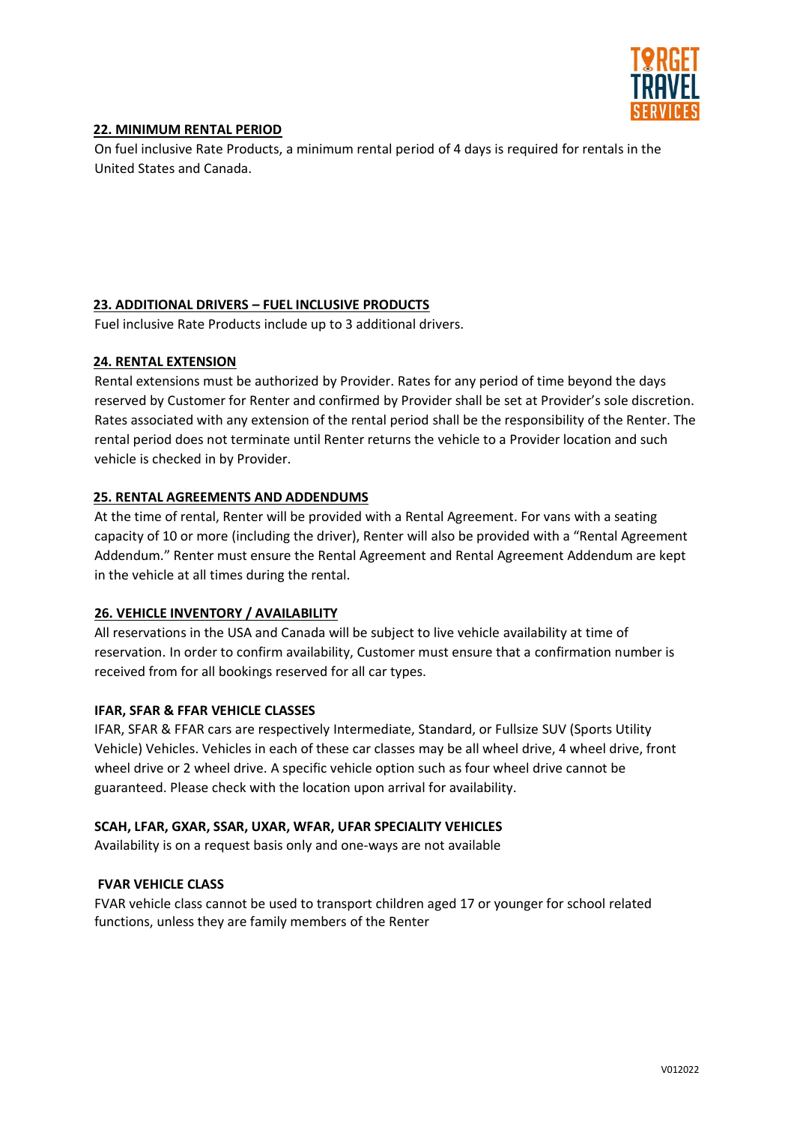

## **22. MINIMUM RENTAL PERIOD**

On fuel inclusive Rate Products, a minimum rental period of 4 days is required for rentals in the United States and Canada.

## **23. ADDITIONAL DRIVERS – FUEL INCLUSIVE PRODUCTS**

Fuel inclusive Rate Products include up to 3 additional drivers.

#### **24. RENTAL EXTENSION**

Rental extensions must be authorized by Provider. Rates for any period of time beyond the days reserved by Customer for Renter and confirmed by Provider shall be set at Provider's sole discretion. Rates associated with any extension of the rental period shall be the responsibility of the Renter. The rental period does not terminate until Renter returns the vehicle to a Provider location and such vehicle is checked in by Provider.

#### **25. RENTAL AGREEMENTS AND ADDENDUMS**

At the time of rental, Renter will be provided with a Rental Agreement. For vans with a seating capacity of 10 or more (including the driver), Renter will also be provided with a "Rental Agreement Addendum." Renter must ensure the Rental Agreement and Rental Agreement Addendum are kept in the vehicle at all times during the rental.

## **26. VEHICLE INVENTORY / AVAILABILITY**

All reservations in the USA and Canada will be subject to live vehicle availability at time of reservation. In order to confirm availability, Customer must ensure that a confirmation number is received from for all bookings reserved for all car types.

#### **IFAR, SFAR & FFAR VEHICLE CLASSES**

IFAR, SFAR & FFAR cars are respectively Intermediate, Standard, or Fullsize SUV (Sports Utility Vehicle) Vehicles. Vehicles in each of these car classes may be all wheel drive, 4 wheel drive, front wheel drive or 2 wheel drive. A specific vehicle option such as four wheel drive cannot be guaranteed. Please check with the location upon arrival for availability.

#### **SCAH, LFAR, GXAR, SSAR, UXAR, WFAR, UFAR SPECIALITY VEHICLES**

Availability is on a request basis only and one-ways are not available

#### **FVAR VEHICLE CLASS**

FVAR vehicle class cannot be used to transport children aged 17 or younger for school related functions, unless they are family members of the Renter